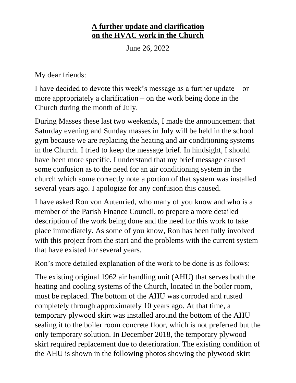## **A further update and clarification on the HVAC work in the Church**

June 26, 2022

My dear friends:

I have decided to devote this week's message as a further update – or more appropriately a clarification – on the work being done in the Church during the month of July.

During Masses these last two weekends, I made the announcement that Saturday evening and Sunday masses in July will be held in the school gym because we are replacing the heating and air conditioning systems in the Church. I tried to keep the message brief. In hindsight, I should have been more specific. I understand that my brief message caused some confusion as to the need for an air conditioning system in the church which some correctly note a portion of that system was installed several years ago. I apologize for any confusion this caused.

I have asked Ron von Autenried, who many of you know and who is a member of the Parish Finance Council, to prepare a more detailed description of the work being done and the need for this work to take place immediately. As some of you know, Ron has been fully involved with this project from the start and the problems with the current system that have existed for several years.

Ron's more detailed explanation of the work to be done is as follows:

The existing original 1962 air handling unit (AHU) that serves both the heating and cooling systems of the Church, located in the boiler room, must be replaced. The bottom of the AHU was corroded and rusted completely through approximately 10 years ago. At that time, a temporary plywood skirt was installed around the bottom of the AHU sealing it to the boiler room concrete floor, which is not preferred but the only temporary solution. In December 2018, the temporary plywood skirt required replacement due to deterioration. The existing condition of the AHU is shown in the following photos showing the plywood skirt